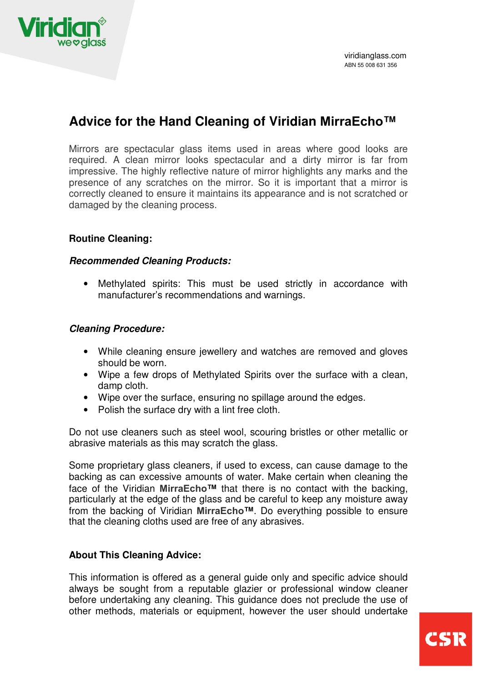

# **Advice for the Hand Cleaning of Viridian MirraEcho™**

Mirrors are spectacular glass items used in areas where good looks are required. A clean mirror looks spectacular and a dirty mirror is far from impressive. The highly reflective nature of mirror highlights any marks and the presence of any scratches on the mirror. So it is important that a mirror is correctly cleaned to ensure it maintains its appearance and is not scratched or damaged by the cleaning process.

# **Routine Cleaning:**

#### **Recommended Cleaning Products:**

• Methylated spirits: This must be used strictly in accordance with manufacturer's recommendations and warnings.

## **Cleaning Procedure:**

- While cleaning ensure jewellery and watches are removed and gloves should be worn.
- Wipe a few drops of Methylated Spirits over the surface with a clean, damp cloth.
- Wipe over the surface, ensuring no spillage around the edges.
- Polish the surface dry with a lint free cloth.

Do not use cleaners such as steel wool, scouring bristles or other metallic or abrasive materials as this may scratch the glass.

Some proprietary glass cleaners, if used to excess, can cause damage to the backing as can excessive amounts of water. Make certain when cleaning the face of the Viridian **MirraEcho™** that there is no contact with the backing, particularly at the edge of the glass and be careful to keep any moisture away from the backing of Viridian **MirraEcho™**. Do everything possible to ensure that the cleaning cloths used are free of any abrasives.

## **About This Cleaning Advice:**

This information is offered as a general guide only and specific advice should always be sought from a reputable glazier or professional window cleaner before undertaking any cleaning. This guidance does not preclude the use of other methods, materials or equipment, however the user should undertake